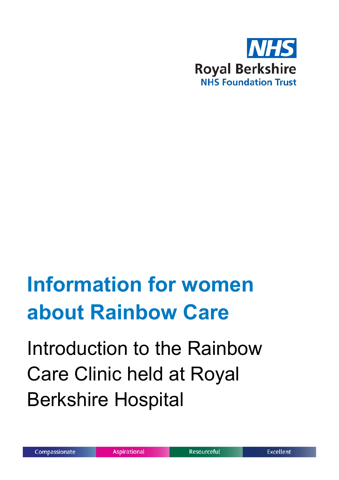

## **Information for women about Rainbow Care**

Introduction to the Rainbow Care Clinic held at Royal Berkshire Hospital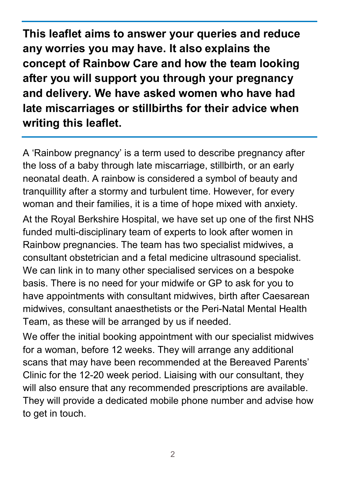**This leaflet aims to answer your queries and reduce any worries you may have. It also explains the concept of Rainbow Care and how the team looking after you will support you through your pregnancy and delivery. We have asked women who have had late miscarriages or stillbirths for their advice when writing this leaflet.**

A 'Rainbow pregnancy' is a term used to describe pregnancy after the loss of a baby through late miscarriage, stillbirth, or an early neonatal death. A rainbow is considered a symbol of beauty and tranquillity after a stormy and turbulent time. However, for every woman and their families, it is a time of hope mixed with anxiety. At the Royal Berkshire Hospital, we have set up one of the first NHS funded multi-disciplinary team of experts to look after women in Rainbow pregnancies. The team has two specialist midwives, a consultant obstetrician and a fetal medicine ultrasound specialist. We can link in to many other specialised services on a bespoke basis. There is no need for your midwife or GP to ask for you to have appointments with consultant midwives, birth after Caesarean midwives, consultant anaesthetists or the Peri-Natal Mental Health Team, as these will be arranged by us if needed.

We offer the initial booking appointment with our specialist midwives for a woman, before 12 weeks. They will arrange any additional scans that may have been recommended at the Bereaved Parents' Clinic for the 12-20 week period. Liaising with our consultant, they will also ensure that any recommended prescriptions are available. They will provide a dedicated mobile phone number and advise how to get in touch.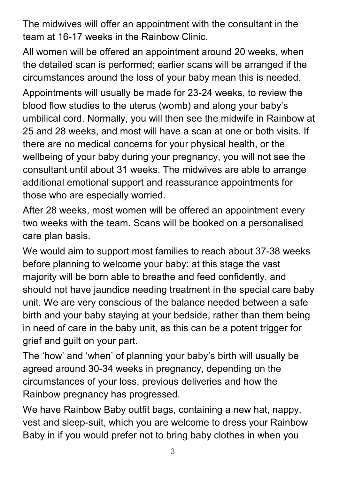The midwives will offer an appointment with the consultant in the team at 16-17 weeks in the Rainbow Clinic.

All women will be offered an appointment around 20 weeks, when the detailed scan is performed; earlier scans will be arranged if the circumstances around the loss of your baby mean this is needed. Appointments will usually be made for 23-24 weeks, to review the blood flow studies to the uterus (womb) and along your baby's umbilical cord. Normally, you will then see the midwife in Rainbow at 25 and 28 weeks, and most will have a scan at one or both visits. If there are no medical concerns for your physical health, or the wellbeing of your baby during your pregnancy, you will not see the consultant until about 31 weeks. The midwives are able to arrange additional emotional support and reassurance appointments for those who are especially worried.

After 28 weeks, most women will be offered an appointment every two weeks with the team. Scans will be booked on a personalised care plan basis.

We would aim to support most families to reach about 37-38 weeks before planning to welcome your baby: at this stage the vast majority will be born able to breathe and feed confidently, and should not have jaundice needing treatment in the special care baby unit. We are very conscious of the balance needed between a safe birth and your baby staying at your bedside, rather than them being in need of care in the baby unit, as this can be a potent trigger for grief and guilt on your part.

The 'how' and 'when' of planning your baby's birth will usually be agreed around 30-34 weeks in pregnancy, depending on the circumstances of your loss, previous deliveries and how the Rainbow pregnancy has progressed.

We have Rainbow Baby outfit bags, containing a new hat, nappy, vest and sleep-suit, which you are welcome to dress your Rainbow Baby in if you would prefer not to bring baby clothes in when you